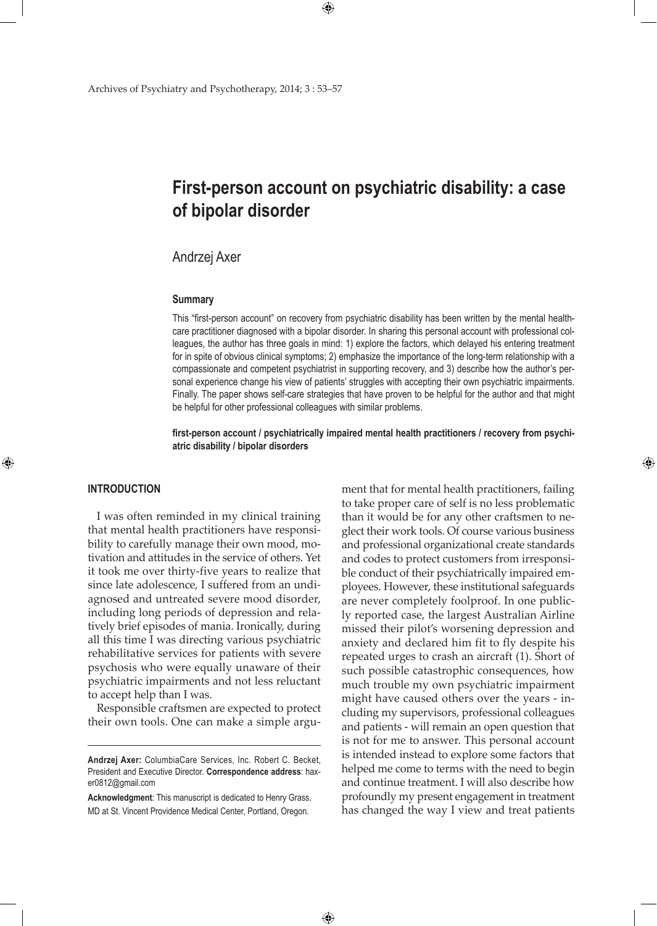# **First-person account on psychiatric disability: a case of bipolar disorder**

 $\bigoplus$ 

# Andrzej Axer

#### **Summary**

This "first-person account" on recovery from psychiatric disability has been written by the mental healthcare practitioner diagnosed with a bipolar disorder. In sharing this personal account with professional colleagues, the author has three goals in mind: 1) explore the factors, which delayed his entering treatment for in spite of obvious clinical symptoms; 2) emphasize the importance of the long-term relationship with a compassionate and competent psychiatrist in supporting recovery, and 3) describe how the author's personal experience change his view of patients' struggles with accepting their own psychiatric impairments. Finally. The paper shows self-care strategies that have proven to be helpful for the author and that might be helpful for other professional colleagues with similar problems.

**first-person account / psychiatrically impaired mental health practitioners / recovery from psychiatric disability / bipolar disorders**

 $\bigoplus$ 

## **Introduction**

⊕

I was often reminded in my clinical training that mental health practitioners have responsibility to carefully manage their own mood, motivation and attitudes in the service of others. Yet it took me over thirty-five years to realize that since late adolescence, I suffered from an undiagnosed and untreated severe mood disorder, including long periods of depression and relatively brief episodes of mania. Ironically, during all this time I was directing various psychiatric rehabilitative services for patients with severe psychosis who were equally unaware of their psychiatric impairments and not less reluctant to accept help than I was.

Responsible craftsmen are expected to protect their own tools. One can make a simple argu-

**Acknowledgment**: This manuscript is dedicated to Henry Grass, MD at St. Vincent Providence Medical Center, Portland, Oregon.

ment that for mental health practitioners, failing to take proper care of self is no less problematic than it would be for any other craftsmen to neglect their work tools. Of course various business and professional organizational create standards and codes to protect customers from irresponsible conduct of their psychiatrically impaired employees. However, these institutional safeguards are never completely foolproof. In one publicly reported case, the largest Australian Airline missed their pilot's worsening depression and anxiety and declared him fit to fly despite his repeated urges to crash an aircraft (1). Short of such possible catastrophic consequences, how much trouble my own psychiatric impairment might have caused others over the years - including my supervisors, professional colleagues and patients - will remain an open question that is not for me to answer. This personal account is intended instead to explore some factors that helped me come to terms with the need to begin and continue treatment. I will also describe how profoundly my present engagement in treatment has changed the way I view and treat patients

⊕

**Andrzej Axer:** ColumbiaCare Services, Inc. Robert C. Becket, President and Executive Director. **Correspondence address**: haxer0812@gmail.com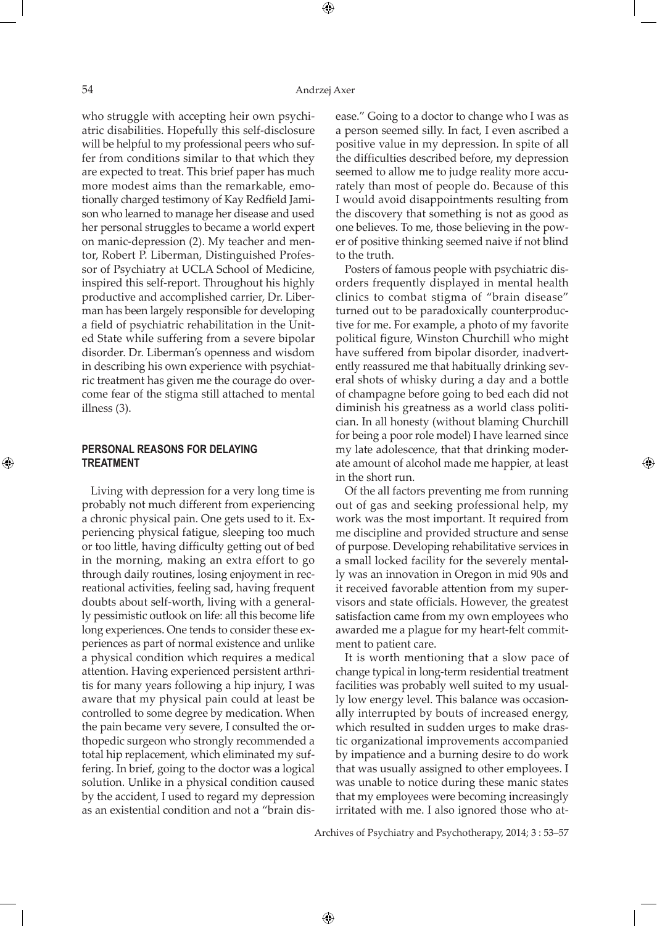⊕

who struggle with accepting heir own psychiatric disabilities. Hopefully this self-disclosure will be helpful to my professional peers who suffer from conditions similar to that which they are expected to treat. This brief paper has much more modest aims than the remarkable, emotionally charged testimony of Kay Redfield Jamison who learned to manage her disease and used her personal struggles to became a world expert on manic-depression (2). My teacher and mentor, Robert P. Liberman, Distinguished Professor of Psychiatry at UCLA School of Medicine, inspired this self-report. Throughout his highly productive and accomplished carrier, Dr. Liberman has been largely responsible for developing a field of psychiatric rehabilitation in the United State while suffering from a severe bipolar disorder. Dr. Liberman's openness and wisdom in describing his own experience with psychiatric treatment has given me the courage do overcome fear of the stigma still attached to mental illness (3).

## **Personal reasons for delaying treatment**

Living with depression for a very long time is probably not much different from experiencing a chronic physical pain. One gets used to it. Experiencing physical fatigue, sleeping too much or too little, having difficulty getting out of bed in the morning, making an extra effort to go through daily routines, losing enjoyment in recreational activities, feeling sad, having frequent doubts about self-worth, living with a generally pessimistic outlook on life: all this become life long experiences. One tends to consider these experiences as part of normal existence and unlike a physical condition which requires a medical attention. Having experienced persistent arthritis for many years following a hip injury, I was aware that my physical pain could at least be controlled to some degree by medication. When the pain became very severe, I consulted the orthopedic surgeon who strongly recommended a total hip replacement, which eliminated my suffering. In brief, going to the doctor was a logical solution. Unlike in a physical condition caused by the accident, I used to regard my depression as an existential condition and not a "brain disease." Going to a doctor to change who I was as a person seemed silly. In fact, I even ascribed a positive value in my depression. In spite of all the difficulties described before, my depression seemed to allow me to judge reality more accurately than most of people do. Because of this I would avoid disappointments resulting from the discovery that something is not as good as one believes. To me, those believing in the power of positive thinking seemed naive if not blind to the truth.

Posters of famous people with psychiatric disorders frequently displayed in mental health clinics to combat stigma of "brain disease" turned out to be paradoxically counterproductive for me. For example, a photo of my favorite political figure, Winston Churchill who might have suffered from bipolar disorder, inadvertently reassured me that habitually drinking several shots of whisky during a day and a bottle of champagne before going to bed each did not diminish his greatness as a world class politician. In all honesty (without blaming Churchill for being a poor role model) I have learned since my late adolescence, that that drinking moderate amount of alcohol made me happier, at least in the short run.

Of the all factors preventing me from running out of gas and seeking professional help, my work was the most important. It required from me discipline and provided structure and sense of purpose. Developing rehabilitative services in a small locked facility for the severely mentally was an innovation in Oregon in mid 90s and it received favorable attention from my supervisors and state officials. However, the greatest satisfaction came from my own employees who awarded me a plague for my heart-felt commitment to patient care.

It is worth mentioning that a slow pace of change typical in long-term residential treatment facilities was probably well suited to my usually low energy level. This balance was occasionally interrupted by bouts of increased energy, which resulted in sudden urges to make drastic organizational improvements accompanied by impatience and a burning desire to do work that was usually assigned to other employees. I was unable to notice during these manic states that my employees were becoming increasingly irritated with me. I also ignored those who at-

Archives of Psychiatry and Psychotherapy, 2014; 3 : 53–57

 $\bigoplus$ 

⊕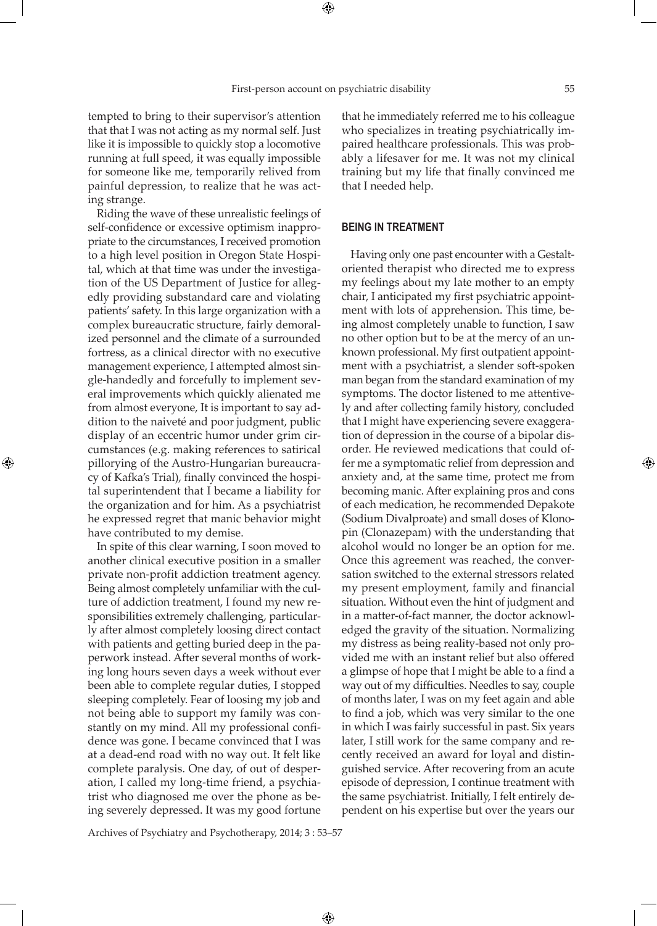tempted to bring to their supervisor's attention that that I was not acting as my normal self. Just like it is impossible to quickly stop a locomotive running at full speed, it was equally impossible for someone like me, temporarily relived from painful depression, to realize that he was acting strange.

Riding the wave of these unrealistic feelings of self-confidence or excessive optimism inappropriate to the circumstances, I received promotion to a high level position in Oregon State Hospital, which at that time was under the investigation of the US Department of Justice for allegedly providing substandard care and violating patients' safety. In this large organization with a complex bureaucratic structure, fairly demoralized personnel and the climate of a surrounded fortress, as a clinical director with no executive management experience, I attempted almost single-handedly and forcefully to implement several improvements which quickly alienated me from almost everyone, It is important to say addition to the naiveté and poor judgment, public display of an eccentric humor under grim circumstances (e.g. making references to satirical pillorying of the Austro-Hungarian bureaucracy of Kafka's Trial), finally convinced the hospital superintendent that I became a liability for the organization and for him. As a psychiatrist he expressed regret that manic behavior might have contributed to my demise.

⊕

In spite of this clear warning, I soon moved to another clinical executive position in a smaller private non-profit addiction treatment agency. Being almost completely unfamiliar with the culture of addiction treatment, I found my new responsibilities extremely challenging, particularly after almost completely loosing direct contact with patients and getting buried deep in the paperwork instead. After several months of working long hours seven days a week without ever been able to complete regular duties, I stopped sleeping completely. Fear of loosing my job and not being able to support my family was constantly on my mind. All my professional confidence was gone. I became convinced that I was at a dead-end road with no way out. It felt like complete paralysis. One day, of out of desperation, I called my long-time friend, a psychiatrist who diagnosed me over the phone as being severely depressed. It was my good fortune

that he immediately referred me to his colleague who specializes in treating psychiatrically impaired healthcare professionals. This was probably a lifesaver for me. It was not my clinical training but my life that finally convinced me that I needed help.

## **Being in treatment**

Having only one past encounter with a Gestaltoriented therapist who directed me to express my feelings about my late mother to an empty chair, I anticipated my first psychiatric appointment with lots of apprehension. This time, being almost completely unable to function, I saw no other option but to be at the mercy of an unknown professional. My first outpatient appointment with a psychiatrist, a slender soft-spoken man began from the standard examination of my symptoms. The doctor listened to me attentively and after collecting family history, concluded that I might have experiencing severe exaggeration of depression in the course of a bipolar disorder. He reviewed medications that could offer me a symptomatic relief from depression and anxiety and, at the same time, protect me from becoming manic. After explaining pros and cons of each medication, he recommended Depakote (Sodium Divalproate) and small doses of Klonopin (Clonazepam) with the understanding that alcohol would no longer be an option for me. Once this agreement was reached, the conversation switched to the external stressors related my present employment, family and financial situation. Without even the hint of judgment and in a matter-of-fact manner, the doctor acknowledged the gravity of the situation. Normalizing my distress as being reality-based not only provided me with an instant relief but also offered a glimpse of hope that I might be able to a find a way out of my difficulties. Needles to say, couple of months later, I was on my feet again and able to find a job, which was very similar to the one in which I was fairly successful in past. Six years later, I still work for the same company and recently received an award for loyal and distinguished service. After recovering from an acute episode of depression, I continue treatment with the same psychiatrist. Initially, I felt entirely dependent on his expertise but over the years our

Archives of Psychiatry and Psychotherapy, 2014; 3 : 53–57

 $\bigoplus$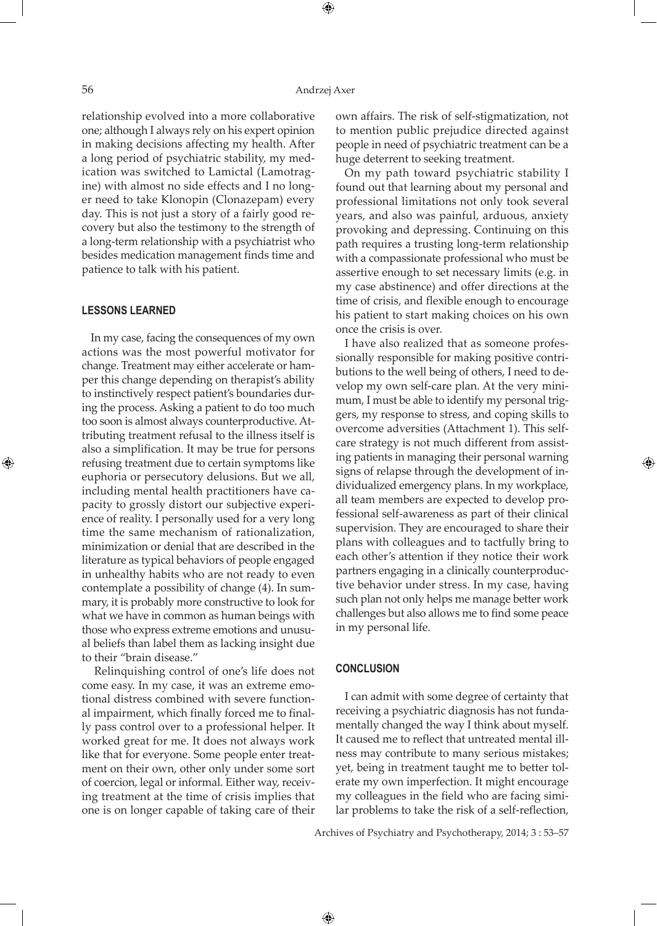⊕

relationship evolved into a more collaborative one; although I always rely on his expert opinion in making decisions affecting my health. After a long period of psychiatric stability, my medication was switched to Lamictal (Lamotragine) with almost no side effects and I no longer need to take Klonopin (Clonazepam) every day. This is not just a story of a fairly good recovery but also the testimony to the strength of a long-term relationship with a psychiatrist who besides medication management finds time and patience to talk with his patient.

#### **Lessons learned**

⊕

In my case, facing the consequences of my own actions was the most powerful motivator for change. Treatment may either accelerate or hamper this change depending on therapist's ability to instinctively respect patient's boundaries during the process. Asking a patient to do too much too soon is almost always counterproductive. Attributing treatment refusal to the illness itself is also a simplification. It may be true for persons refusing treatment due to certain symptoms like euphoria or persecutory delusions. But we all, including mental health practitioners have capacity to grossly distort our subjective experience of reality. I personally used for a very long time the same mechanism of rationalization, minimization or denial that are described in the literature as typical behaviors of people engaged in unhealthy habits who are not ready to even contemplate a possibility of change (4). In summary, it is probably more constructive to look for what we have in common as human beings with those who express extreme emotions and unusual beliefs than label them as lacking insight due to their "brain disease."

 Relinquishing control of one's life does not come easy. In my case, it was an extreme emotional distress combined with severe functional impairment, which finally forced me to finally pass control over to a professional helper. It worked great for me. It does not always work like that for everyone. Some people enter treatment on their own, other only under some sort of coercion, legal or informal. Either way, receiving treatment at the time of crisis implies that one is on longer capable of taking care of their

own affairs. The risk of self-stigmatization, not to mention public prejudice directed against people in need of psychiatric treatment can be a huge deterrent to seeking treatment.

On my path toward psychiatric stability I found out that learning about my personal and professional limitations not only took several years, and also was painful, arduous, anxiety provoking and depressing. Continuing on this path requires a trusting long-term relationship with a compassionate professional who must be assertive enough to set necessary limits (e.g. in my case abstinence) and offer directions at the time of crisis, and flexible enough to encourage his patient to start making choices on his own once the crisis is over.

I have also realized that as someone professionally responsible for making positive contributions to the well being of others, I need to develop my own self-care plan. At the very minimum, I must be able to identify my personal triggers, my response to stress, and coping skills to overcome adversities (Attachment 1). This selfcare strategy is not much different from assisting patients in managing their personal warning signs of relapse through the development of individualized emergency plans. In my workplace, all team members are expected to develop professional self-awareness as part of their clinical supervision. They are encouraged to share their plans with colleagues and to tactfully bring to each other's attention if they notice their work partners engaging in a clinically counterproductive behavior under stress. In my case, having such plan not only helps me manage better work challenges but also allows me to find some peace in my personal life.

#### **Conclusion**

 $\bigoplus$ 

I can admit with some degree of certainty that receiving a psychiatric diagnosis has not fundamentally changed the way I think about myself. It caused me to reflect that untreated mental illness may contribute to many serious mistakes; yet, being in treatment taught me to better tolerate my own imperfection. It might encourage my colleagues in the field who are facing similar problems to take the risk of a self-reflection,

Archives of Psychiatry and Psychotherapy, 2014; 3 : 53–57